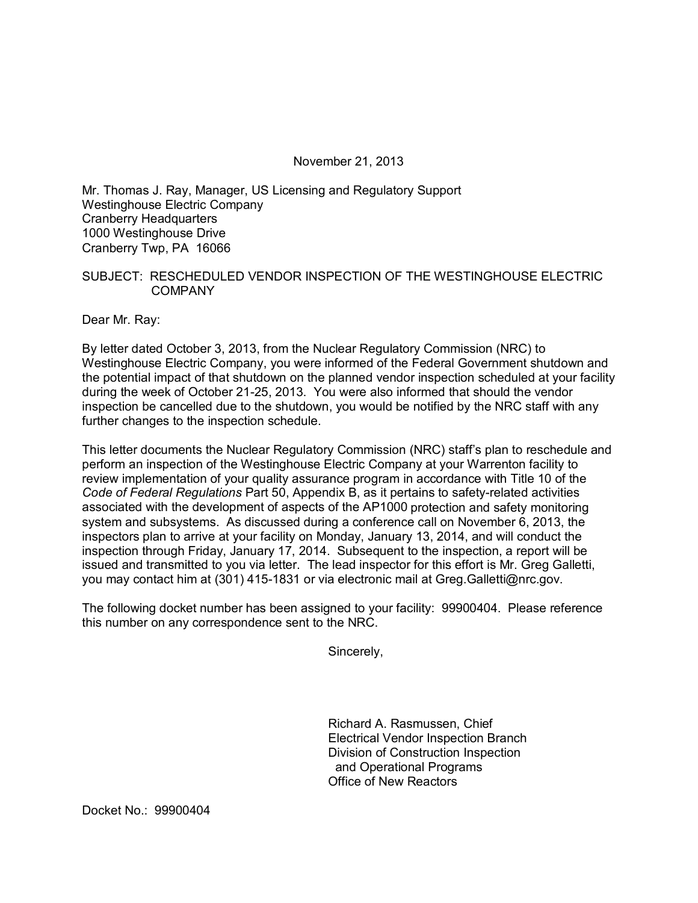November 21, 2013

Mr. Thomas J. Ray, Manager, US Licensing and Regulatory Support Westinghouse Electric Company Cranberry Headquarters 1000 Westinghouse Drive Cranberry Twp, PA 16066

# SUBJECT: RESCHEDULED VENDOR INSPECTION OF THE WESTINGHOUSE ELECTRIC COMPANY

Dear Mr. Ray:

By letter dated October 3, 2013, from the Nuclear Regulatory Commission (NRC) to Westinghouse Electric Company, you were informed of the Federal Government shutdown and the potential impact of that shutdown on the planned vendor inspection scheduled at your facility during the week of October 21-25, 2013. You were also informed that should the vendor inspection be cancelled due to the shutdown, you would be notified by the NRC staff with any further changes to the inspection schedule.

This letter documents the Nuclear Regulatory Commission (NRC) staff's plan to reschedule and perform an inspection of the Westinghouse Electric Company at your Warrenton facility to review implementation of your quality assurance program in accordance with Title 10 of the *Code of Federal Regulations* Part 50, Appendix B, as it pertains to safety-related activities associated with the development of aspects of the AP1000 protection and safety monitoring system and subsystems. As discussed during a conference call on November 6, 2013, the inspectors plan to arrive at your facility on Monday, January 13, 2014, and will conduct the inspection through Friday, January 17, 2014. Subsequent to the inspection, a report will be issued and transmitted to you via letter. The lead inspector for this effort is Mr. Greg Galletti, you may contact him at (301) 415-1831 or via electronic mail at Greg.Galletti@nrc.gov.

The following docket number has been assigned to your facility: 99900404. Please reference this number on any correspondence sent to the NRC.

Sincerely,

Richard A. Rasmussen, Chief Electrical Vendor Inspection Branch Division of Construction Inspection and Operational Programs Office of New Reactors

Docket No.: 99900404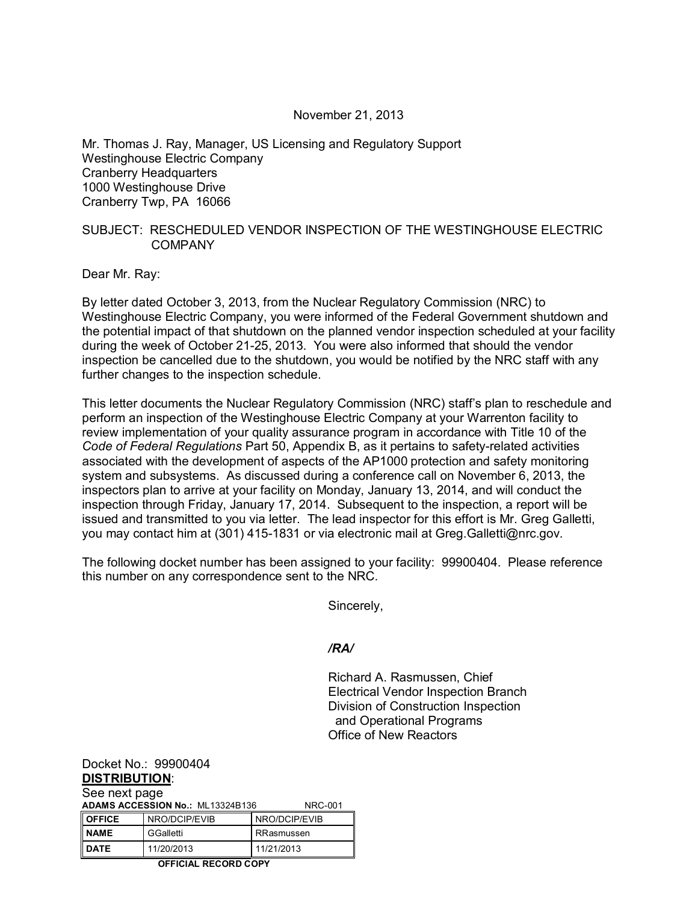#### November 21, 2013

Mr. Thomas J. Ray, Manager, US Licensing and Regulatory Support Westinghouse Electric Company Cranberry Headquarters 1000 Westinghouse Drive Cranberry Twp, PA 16066

## SUBJECT: RESCHEDULED VENDOR INSPECTION OF THE WESTINGHOUSE ELECTRIC **COMPANY**

Dear Mr. Ray:

By letter dated October 3, 2013, from the Nuclear Regulatory Commission (NRC) to Westinghouse Electric Company, you were informed of the Federal Government shutdown and the potential impact of that shutdown on the planned vendor inspection scheduled at your facility during the week of October 21-25, 2013. You were also informed that should the vendor inspection be cancelled due to the shutdown, you would be notified by the NRC staff with any further changes to the inspection schedule.

This letter documents the Nuclear Regulatory Commission (NRC) staff's plan to reschedule and perform an inspection of the Westinghouse Electric Company at your Warrenton facility to review implementation of your quality assurance program in accordance with Title 10 of the *Code of Federal Regulations* Part 50, Appendix B, as it pertains to safety-related activities associated with the development of aspects of the AP1000 protection and safety monitoring system and subsystems. As discussed during a conference call on November 6, 2013, the inspectors plan to arrive at your facility on Monday, January 13, 2014, and will conduct the inspection through Friday, January 17, 2014. Subsequent to the inspection, a report will be issued and transmitted to you via letter. The lead inspector for this effort is Mr. Greg Galletti, you may contact him at (301) 415-1831 or via electronic mail at Greg.Galletti@nrc.gov.

The following docket number has been assigned to your facility: 99900404. Please reference this number on any correspondence sent to the NRC.

Sincerely,

## */RA/*

Richard A. Rasmussen, Chief Electrical Vendor Inspection Branch Division of Construction Inspection and Operational Programs Office of New Reactors

Docket No.: 99900404 **DISTRIBUTION**: See next page **ADAMS ACCESSION No.:** ML13324B136 NRC-001 **OFFICE** NRO/DCIP/EVIB NRO/DCIP/EVIB

| -------- ------ ---- |            |            |
|----------------------|------------|------------|
| DATE                 | 11/20/2013 | 11/21/2013 |
| NAME                 | GGalletti  | RRasmussen |

 **OFFICIAL RECORD COPY**